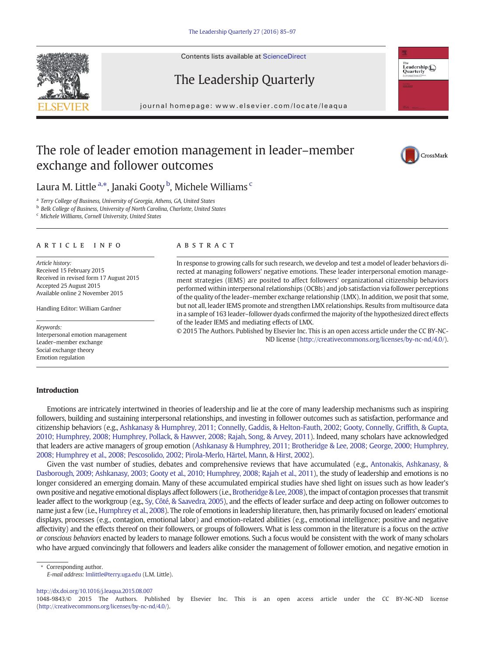Contents lists available at ScienceDirect





journal homepage: www.elsevier.com/locate/leagua journal homepage: www.elsevier.com/locate/leadual homepage: www.elsevier.com/locate/leadual homepage:  $\mathcal{L}$ 

# The<br>Leadership (Q)<br>Quarterly

# The role of leader emotion management in leader–member exchange and follower outcomes



Laura M. Little <sup>a,</sup>\*, Janaki Gooty <sup>b</sup>, Michele Williams <sup>c</sup>

<sup>a</sup> Terry College of Business, University of Georgia, Athens, GA, United States

**b** Belk College of Business, University of North Carolina, Charlotte, United States

<sup>c</sup> Michele Williams, Cornell University, United States

### article info abstract

Article history: Received 15 February 2015 Received in revised form 17 August 2015 Accepted 25 August 2015 Available online 2 November 2015

Handling Editor: William Gardner

Keywords: Interpersonal emotion management Leader–member exchange Social exchange theory Emotion regulation

In response to growing calls for such research, we develop and test a model of leader behaviors directed at managing followers' negative emotions. These leader interpersonal emotion management strategies (IEMS) are posited to affect followers' organizational citizenship behaviors performed within interpersonal relationships (OCBIs) and job satisfaction via follower perceptions of the quality of the leader–member exchange relationship (LMX). In addition, we posit that some, but not all, leader IEMS promote and strengthen LMX relationships. Results from multisource data in a sample of 163 leader–follower dyads confirmed the majority of the hypothesized direct effects of the leader IEMS and mediating effects of LMX.

© 2015 The Authors. Published by Elsevier Inc. This is an open access article under the CC BY-NC-ND license (http://creativecommons.org/licenses/by-nc-nd/4.0/).

### Introduction

Emotions are intricately intertwined in theories of leadership and lie at the core of many leadership mechanisms such as inspiring followers, building and sustaining interpersonal relationships, and investing in follower outcomes such as satisfaction, performance and citizenship behaviors (e.g., [Ashkanasy & Humphrey, 2011; Connelly, Gaddis, & Helton-Fauth, 2002; Gooty, Connelly, Grif](#page-10-0)fith, & Gupta, [2010; Humphrey, 2008; Humphrey, Pollack, & Hawver, 2008; Rajah, Song, & Arvey, 2011\)](#page-10-0). Indeed, many scholars have acknowledged that leaders are active managers of group emotion [\(Ashkanasy & Humphrey, 2011; Brotheridge & Lee, 2008; George, 2000; Humphrey,](#page-10-0) [2008; Humphrey et al., 2008; Pescosolido, 2002; Pirola-Merlo, Härtel, Mann, & Hirst, 2002](#page-10-0)).

Given the vast number of studies, debates and comprehensive reviews that have accumulated (e.g., [Antonakis, Ashkanasy, &](#page-10-0) [Dasborough, 2009; Ashkanasy, 2003; Gooty et al., 2010; Humphrey, 2008; Rajah et al., 2011\)](#page-10-0), the study of leadership and emotions is no longer considered an emerging domain. Many of these accumulated empirical studies have shed light on issues such as how leader's own positive and negative emotional displays affect followers (i.e., [Brotheridge & Lee, 2008\)](#page-10-0), the impact of contagion processes that transmit leader affect to the workgroup (e.g., [Sy, Côté, & Saavedra, 2005\)](#page-12-0), and the effects of leader surface and deep acting on follower outcomes to name just a few (i.e., [Humphrey et al., 2008](#page-11-0)). The role of emotions in leadership literature, then, has primarily focused on leaders' emotional displays, processes (e.g., contagion, emotional labor) and emotion-related abilities (e.g., emotional intelligence; positive and negative affectivity) and the effects thereof on their followers, or groups of followers. What is less common in the literature is a focus on the active or conscious behaviors enacted by leaders to manage follower emotions. Such a focus would be consistent with the work of many scholars who have argued convincingly that followers and leaders alike consider the management of follower emotion, and negative emotion in

Corresponding author.

E-mail address: <lmlittle@terry.uga.edu> (L.M. Little).

<http://dx.doi.org/10.1016/j.leaqua.2015.08.007> 1048-9843/© 2015 The Authors. Published by Elsevier Inc. This is an open access article under the CC BY-NC-ND license (http://creativecommons.org/licenses/by-nc-nd/4.0/).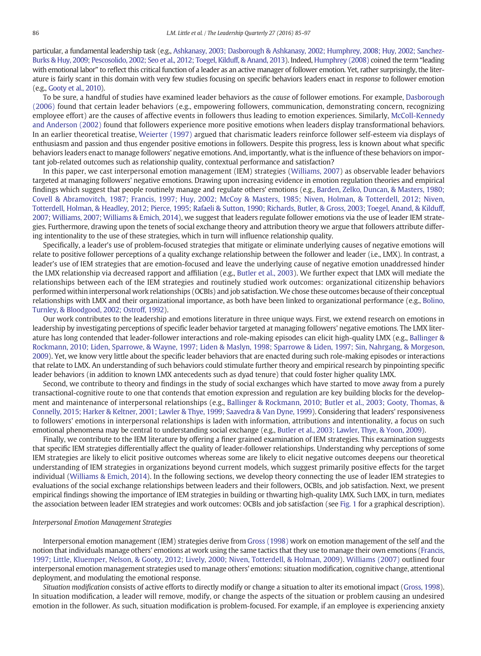particular, a fundamental leadership task (e.g., [Ashkanasy, 2003; Dasborough & Ashkanasy, 2002; Humphrey, 2008; Huy, 2002; Sanchez-](#page-10-0)[Burks & Huy, 2009; Pescosolido, 2002; Seo et al., 2012; Toegel, Kilduff, & Anand, 2013](#page-10-0)). Indeed, [Humphrey \(2008\)](#page-11-0) coined the term "leading with emotional labor" to reflect this critical function of a leader as an active manager of follower emotion. Yet, rather surprisingly, the literature is fairly scant in this domain with very few studies focusing on specific behaviors leaders enact in response to follower emotion (e.g., [Gooty et al., 2010](#page-11-0)).

To be sure, a handful of studies have examined leader behaviors as the *cause* of follower emotions. For example, [Dasborough](#page-10-0) [\(2006\)](#page-10-0) found that certain leader behaviors (e.g., empowering followers, communication, demonstrating concern, recognizing employee effort) are the causes of affective events in followers thus leading to emotion experiences. Similarly, [McColl-Kennedy](#page-11-0) [and Anderson \(2002\)](#page-11-0) found that followers experience more positive emotions when leaders display transformational behaviors. In an earlier theoretical treatise, [Weierter \(1997\)](#page-12-0) argued that charismatic leaders reinforce follower self-esteem via displays of enthusiasm and passion and thus engender positive emotions in followers. Despite this progress, less is known about what specific behaviors leaders enact to manage followers' negative emotions. And, importantly, what is the influence of these behaviors on important job-related outcomes such as relationship quality, contextual performance and satisfaction?

In this paper, we cast interpersonal emotion management (IEM) strategies [\(Williams, 2007\)](#page-12-0) as observable leader behaviors targeted at managing followers' negative emotions. Drawing upon increasing evidence in emotion regulation theories and empirical findings which suggest that people routinely manage and regulate others' emotions (e.g., [Barden, Zelko, Duncan, & Masters, 1980;](#page-10-0) [Covell & Abramovitch, 1987; Francis, 1997; Huy, 2002; McCoy & Masters, 1985; Niven, Holman, & Totterdell, 2012; Niven,](#page-10-0) [Totterdell, Holman, & Headley, 2012; Pierce, 1995; Rafaeli & Sutton, 1990; Richards, Butler, & Gross, 2003; Toegel, Anand, & Kilduff,](#page-10-0) [2007; Williams, 2007; Williams & Emich, 2014\)](#page-10-0), we suggest that leaders regulate follower emotions via the use of leader IEM strategies. Furthermore, drawing upon the tenets of social exchange theory and attribution theory we argue that followers attribute differing intentionality to the use of these strategies, which in turn will influence relationship quality.

Specifically, a leader's use of problem-focused strategies that mitigate or eliminate underlying causes of negative emotions will relate to positive follower perceptions of a quality exchange relationship between the follower and leader (i.e., LMX). In contrast, a leader's use of IEM strategies that are emotion-focused and leave the underlying cause of negative emotion unaddressed hinder the LMX relationship via decreased rapport and affiliation (e.g., [Butler et al., 2003](#page-10-0)). We further expect that LMX will mediate the relationships between each of the IEM strategies and routinely studied work outcomes: organizational citizenship behaviors performed within interpersonal work relationships (OCBIs) and job satisfaction.We chose these outcomes because of their conceptual relationships with LMX and their organizational importance, as both have been linked to organizational performance (e.g., [Bolino,](#page-10-0) [Turnley, & Bloodgood, 2002; Ostroff, 1992](#page-10-0)).

Our work contributes to the leadership and emotions literature in three unique ways. First, we extend research on emotions in leadership by investigating perceptions of specific leader behavior targeted at managing followers' negative emotions. The LMX literature has long contended that leader-follower interactions and role-making episodes can elicit high-quality LMX (e.g., [Ballinger &](#page-10-0) [Rockmann, 2010; Liden, Sparrowe, & Wayne, 1997; Liden & Maslyn, 1998; Sparrowe & Liden, 1997; Sin, Nahrgang, & Morgeson,](#page-10-0) [2009\)](#page-10-0). Yet, we know very little about the specific leader behaviors that are enacted during such role-making episodes or interactions that relate to LMX. An understanding of such behaviors could stimulate further theory and empirical research by pinpointing specific leader behaviors (in addition to known LMX antecedents such as dyad tenure) that could foster higher quality LMX.

Second, we contribute to theory and findings in the study of social exchanges which have started to move away from a purely transactional-cognitive route to one that contends that emotion expression and regulation are key building blocks for the development and maintenance of interpersonal relationships (e.g., [Ballinger & Rockmann, 2010; Butler et al., 2003; Gooty, Thomas, &](#page-10-0) [Connelly, 2015; Harker & Keltner, 2001; Lawler & Thye, 1999; Saavedra & Van Dyne, 1999\)](#page-10-0). Considering that leaders' responsiveness to followers' emotions in interpersonal relationships is laden with information, attributions and intentionality, a focus on such emotional phenomena may be central to understanding social exchange (e.g., [Butler et al., 2003; Lawler, Thye, & Yoon, 2009](#page-10-0)).

Finally, we contribute to the IEM literature by offering a finer grained examination of IEM strategies. This examination suggests that specific IEM strategies differentially affect the quality of leader-follower relationships. Understanding why perceptions of some IEM strategies are likely to elicit positive outcomes whereas some are likely to elicit negative outcomes deepens our theoretical understanding of IEM strategies in organizations beyond current models, which suggest primarily positive effects for the target individual [\(Williams & Emich, 2014](#page-12-0)). In the following sections, we develop theory connecting the use of leader IEM strategies to evaluations of the social exchange relationships between leaders and their followers, OCBIs, and job satisfaction. Next, we present empirical findings showing the importance of IEM strategies in building or thwarting high-quality LMX. Such LMX, in turn, mediates the association between leader IEM strategies and work outcomes: OCBIs and job satisfaction (see [Fig. 1](#page-2-0) for a graphical description).

### Interpersonal Emotion Management Strategies

Interpersonal emotion management (IEM) strategies derive from [Gross \(1998\)](#page-11-0) work on emotion management of the self and the notion that individuals manage others' emotions at work using the same tactics that they use to manage their own emotions [\(Francis,](#page-10-0) [1997; Little, Kluemper, Nelson, & Gooty, 2012; Lively, 2000; Niven, Totterdell, & Holman, 2009](#page-10-0)). [Williams \(2007\)](#page-12-0) outlined four interpersonal emotion management strategies used to manage others' emotions: situation modification, cognitive change, attentional deployment, and modulating the emotional response.

Situation modification consists of active efforts to directly modify or change a situation to alter its emotional impact ([Gross, 1998\)](#page-11-0). In situation modification, a leader will remove, modify, or change the aspects of the situation or problem causing an undesired emotion in the follower. As such, situation modification is problem-focused. For example, if an employee is experiencing anxiety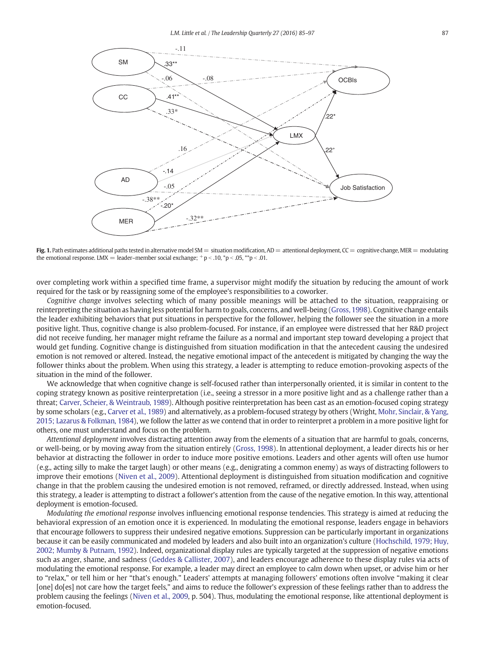<span id="page-2-0"></span>

Fig. 1. Path estimates additional paths tested in alternative model SM = situation modification,  $AD =$  attentional deployment,  $CC =$  cognitive change, MER = modulating the emotional response. LMX = leader–member social exchange;  $+p < .10$ , \*p  $< .05$ , \*\*p  $< .01$ .

over completing work within a specified time frame, a supervisor might modify the situation by reducing the amount of work required for the task or by reassigning some of the employee's responsibilities to a coworker.

Cognitive change involves selecting which of many possible meanings will be attached to the situation, reappraising or reinterpreting the situation as having less potential for harm to goals, concerns, and well-being [\(Gross, 1998\)](#page-11-0). Cognitive change entails the leader exhibiting behaviors that put situations in perspective for the follower, helping the follower see the situation in a more positive light. Thus, cognitive change is also problem-focused. For instance, if an employee were distressed that her R&D project did not receive funding, her manager might reframe the failure as a normal and important step toward developing a project that would get funding. Cognitive change is distinguished from situation modification in that the antecedent causing the undesired emotion is not removed or altered. Instead, the negative emotional impact of the antecedent is mitigated by changing the way the follower thinks about the problem. When using this strategy, a leader is attempting to reduce emotion-provoking aspects of the situation in the mind of the follower.

We acknowledge that when cognitive change is self-focused rather than interpersonally oriented, it is similar in content to the coping strategy known as positive reinterpretation (i.e., seeing a stressor in a more positive light and as a challenge rather than a threat; [Carver, Scheier, & Weintraub, 1989\)](#page-10-0). Although positive reinterpretation has been cast as an emotion-focused coping strategy by some scholars (e.g., [Carver et al., 1989\)](#page-10-0) and alternatively, as a problem-focused strategy by others (Wright, [Mohr, Sinclair, & Yang,](#page-11-0) [2015; Lazarus & Folkman, 1984](#page-11-0)), we follow the latter as we contend that in order to reinterpret a problem in a more positive light for others, one must understand and focus on the problem.

Attentional deployment involves distracting attention away from the elements of a situation that are harmful to goals, concerns, or well-being, or by moving away from the situation entirely ([Gross, 1998](#page-11-0)). In attentional deployment, a leader directs his or her behavior at distracting the follower in order to induce more positive emotions. Leaders and other agents will often use humor (e.g., acting silly to make the target laugh) or other means (e.g., denigrating a common enemy) as ways of distracting followers to improve their emotions ([Niven et al., 2009\)](#page-11-0). Attentional deployment is distinguished from situation modification and cognitive change in that the problem causing the undesired emotion is not removed, reframed, or directly addressed. Instead, when using this strategy, a leader is attempting to distract a follower's attention from the cause of the negative emotion. In this way, attentional deployment is emotion-focused.

Modulating the emotional response involves influencing emotional response tendencies. This strategy is aimed at reducing the behavioral expression of an emotion once it is experienced. In modulating the emotional response, leaders engage in behaviors that encourage followers to suppress their undesired negative emotions. Suppression can be particularly important in organizations because it can be easily communicated and modeled by leaders and also built into an organization's culture ([Hochschild, 1979; Huy,](#page-11-0) [2002; Mumby & Putnam, 1992](#page-11-0)). Indeed, organizational display rules are typically targeted at the suppression of negative emotions such as anger, shame, and sadness ([Geddes & Callister, 2007](#page-11-0)), and leaders encourage adherence to these display rules via acts of modulating the emotional response. For example, a leader may direct an employee to calm down when upset, or advise him or her to "relax," or tell him or her "that's enough." Leaders' attempts at managing followers' emotions often involve "making it clear [one] do[es] not care how the target feels," and aims to reduce the follower's expression of these feelings rather than to address the problem causing the feelings [\(Niven et al., 2009,](#page-11-0) p. 504). Thus, modulating the emotional response, like attentional deployment is emotion-focused.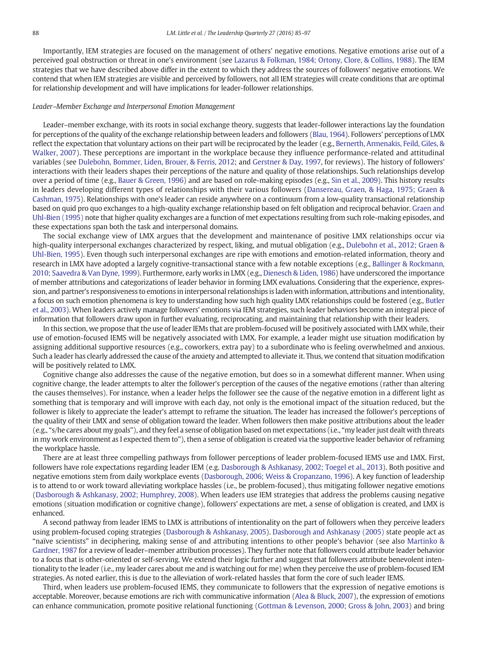Importantly, IEM strategies are focused on the management of others' negative emotions. Negative emotions arise out of a perceived goal obstruction or threat in one's environment (see [Lazarus & Folkman, 1984; Ortony, Clore, & Collins, 1988](#page-11-0)). The IEM strategies that we have described above differ in the extent to which they address the sources of followers' negative emotions. We contend that when IEM strategies are visible and perceived by followers, not all IEM strategies will create conditions that are optimal for relationship development and will have implications for leader-follower relationships.

### Leader–Member Exchange and Interpersonal Emotion Management

Leader–member exchange, with its roots in social exchange theory, suggests that leader-follower interactions lay the foundation for perceptions of the quality of the exchange relationship between leaders and followers ([Blau, 1964](#page-10-0)). Followers' perceptions of LMX reflect the expectation that voluntary actions on their part will be reciprocated by the leader (e.g., [Bernerth, Armenakis, Feild, Giles, &](#page-10-0) [Walker, 2007](#page-10-0)). These perceptions are important in the workplace because they influence performance-related and attitudinal variables (see [Dulebohn, Bommer, Liden, Brouer, & Ferris, 2012](#page-10-0); and [Gerstner & Day, 1997](#page-11-0), for reviews). The history of followers' interactions with their leaders shapes their perceptions of the nature and quality of those relationships. Such relationships develop over a period of time (e.g., [Bauer & Green, 1996\)](#page-10-0) and are based on role-making episodes (e.g., [Sin et al., 2009\)](#page-12-0). This history results in leaders developing different types of relationships with their various followers ([Dansereau, Graen, & Haga, 1975; Graen &](#page-10-0) [Cashman, 1975\)](#page-10-0). Relationships with one's leader can reside anywhere on a continuum from a low-quality transactional relationship based on quid pro quo exchanges to a high-quality exchange relationship based on felt obligation and reciprocal behavior. [Graen and](#page-11-0) [Uhl-Bien \(1995\)](#page-11-0) note that higher quality exchanges are a function of met expectations resulting from such role-making episodes, and these expectations span both the task and interpersonal domains.

The social exchange view of LMX argues that the development and maintenance of positive LMX relationships occur via high-quality interpersonal exchanges characterized by respect, liking, and mutual obligation (e.g., [Dulebohn et al., 2012; Graen &](#page-10-0) [Uhl-Bien, 1995\)](#page-10-0). Even though such interpersonal exchanges are ripe with emotions and emotion-related information, theory and research in LMX have adopted a largely cognitive-transactional stance with a few notable exceptions (e.g., [Ballinger & Rockmann,](#page-10-0) [2010; Saavedra & Van Dyne, 1999\)](#page-10-0). Furthermore, early works in LMX (e.g., [Dienesch & Liden, 1986\)](#page-10-0) have underscored the importance of member attributions and categorizations of leader behavior in forming LMX evaluations. Considering that the experience, expression, and partner's responsiveness to emotions in interpersonal relationships is laden with information, attributions and intentionality, a focus on such emotion phenomena is key to understanding how such high quality LMX relationships could be fostered (e.g., [Butler](#page-10-0) [et al., 2003\)](#page-10-0). When leaders actively manage followers' emotions via IEM strategies, such leader behaviors become an integral piece of information that followers draw upon in further evaluating, reciprocating, and maintaining that relationship with their leaders.

In this section, we propose that the use of leader IEMs that are problem-focused will be positively associated with LMX while, their use of emotion-focused IEMS will be negatively associated with LMX. For example, a leader might use situation modification by assigning additional supportive resources (e.g., coworkers, extra pay) to a subordinate who is feeling overwhelmed and anxious. Such a leader has clearly addressed the cause of the anxiety and attempted to alleviate it. Thus, we contend that situation modification will be positively related to LMX.

Cognitive change also addresses the cause of the negative emotion, but does so in a somewhat different manner. When using cognitive change, the leader attempts to alter the follower's perception of the causes of the negative emotions (rather than altering the causes themselves). For instance, when a leader helps the follower see the cause of the negative emotion in a different light as something that is temporary and will improve with each day, not only is the emotional impact of the situation reduced, but the follower is likely to appreciate the leader's attempt to reframe the situation. The leader has increased the follower's perceptions of the quality of their LMX and sense of obligation toward the leader. When followers then make positive attributions about the leader (e.g., "s/he cares about my goals"), and they feel a sense of obligation based on met expectations (i.e., "my leader just dealt with threats in my work environment as I expected them to"), then a sense of obligation is created via the supportive leader behavior of reframing the workplace hassle.

There are at least three compelling pathways from follower perceptions of leader problem-focused IEMS use and LMX. First, followers have role expectations regarding leader IEM (e.g. [Dasborough & Ashkanasy, 2002; Toegel et al., 2013\)](#page-10-0). Both positive and negative emotions stem from daily workplace events [\(Dasborough, 2006; Weiss & Cropanzano, 1996\)](#page-10-0). A key function of leadership is to attend to or work toward alleviating workplace hassles (i.e., be problem-focused), thus mitigating follower negative emotions [\(Dasborough & Ashkanasy, 2002; Humphrey, 2008\)](#page-10-0). When leaders use IEM strategies that address the problems causing negative emotions (situation modification or cognitive change), followers' expectations are met, a sense of obligation is created, and LMX is enhanced.

A second pathway from leader IEMS to LMX is attributions of intentionality on the part of followers when they perceive leaders using problem-focused coping strategies [\(Dasborough & Ashkanasy, 2005](#page-10-0)). [Dasborough and Ashkanasy \(2005\)](#page-10-0) state people act as "naïve scientists" in deciphering, making sense of and attributing intentions to other people's behavior (see also [Martinko &](#page-11-0) [Gardner, 1987](#page-11-0) for a review of leader–member attribution processes). They further note that followers could attribute leader behavior to a focus that is other-oriented or self-serving. We extend their logic further and suggest that followers attribute benevolent intentionality to the leader (i.e., my leader cares about me and is watching out for me) when they perceive the use of problem-focused IEM strategies. As noted earlier, this is due to the alleviation of work-related hassles that form the core of such leader IEMS.

Third, when leaders use problem-focused IEMS, they communicate to followers that the expression of negative emotions is acceptable. Moreover, because emotions are rich with communicative information [\(Alea & Bluck, 2007\)](#page-10-0), the expression of emotions can enhance communication, promote positive relational functioning ([Gottman & Levenson, 2000; Gross & John, 2003\)](#page-11-0) and bring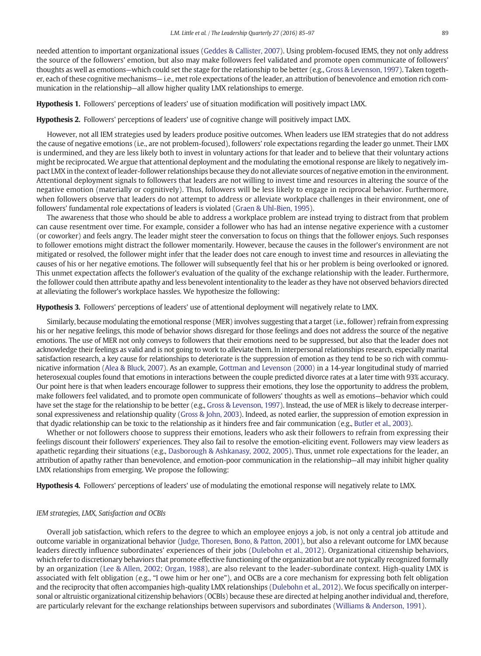<span id="page-4-0"></span>needed attention to important organizational issues ([Geddes & Callister, 2007\)](#page-11-0). Using problem-focused IEMS, they not only address the source of the followers' emotion, but also may make followers feel validated and promote open communicate of followers' thoughts as well as emotions—which could set the stage for the relationship to be better (e.g., [Gross & Levenson, 1997\)](#page-11-0). Taken together, each of these cognitive mechanisms— i.e., met role expectations of the leader, an attribution of benevolence and emotion rich communication in the relationship—all allow higher quality LMX relationships to emerge.

Hypothesis 1. Followers' perceptions of leaders' use of situation modification will positively impact LMX.

Hypothesis 2. Followers' perceptions of leaders' use of cognitive change will positively impact LMX.

However, not all IEM strategies used by leaders produce positive outcomes. When leaders use IEM strategies that do not address the cause of negative emotions (i.e., are not problem-focused), followers' role expectations regarding the leader go unmet. Their LMX is undermined, and they are less likely both to invest in voluntary actions for that leader and to believe that their voluntary actions might be reciprocated. We argue that attentional deployment and the modulating the emotional response are likely to negatively impact LMX in the context of leader-follower relationships because they do not alleviate sources of negative emotion in the environment. Attentional deployment signals to followers that leaders are not willing to invest time and resources in altering the source of the negative emotion (materially or cognitively). Thus, followers will be less likely to engage in reciprocal behavior. Furthermore, when followers observe that leaders do not attempt to address or alleviate workplace challenges in their environment, one of followers' fundamental role expectations of leaders is violated ([Graen & Uhl-Bien, 1995](#page-11-0)).

The awareness that those who should be able to address a workplace problem are instead trying to distract from that problem can cause resentment over time. For example, consider a follower who has had an intense negative experience with a customer (or coworker) and feels angry. The leader might steer the conversation to focus on things that the follower enjoys. Such responses to follower emotions might distract the follower momentarily. However, because the causes in the follower's environment are not mitigated or resolved, the follower might infer that the leader does not care enough to invest time and resources in alleviating the causes of his or her negative emotions. The follower will subsequently feel that his or her problem is being overlooked or ignored. This unmet expectation affects the follower's evaluation of the quality of the exchange relationship with the leader. Furthermore, the follower could then attribute apathy and less benevolent intentionality to the leader as they have not observed behaviors directed at alleviating the follower's workplace hassles. We hypothesize the following:

Hypothesis 3. Followers' perceptions of leaders' use of attentional deployment will negatively relate to LMX.

Similarly, because modulating the emotional response (MER) involves suggesting that a target (i.e., follower) refrain from expressing his or her negative feelings, this mode of behavior shows disregard for those feelings and does not address the source of the negative emotions. The use of MER not only conveys to followers that their emotions need to be suppressed, but also that the leader does not acknowledge their feelings as valid and is not going to work to alleviate them. In interpersonal relationships research, especially marital satisfaction research, a key cause for relationships to deteriorate is the suppression of emotion as they tend to be so rich with communicative information ([Alea & Bluck, 2007\)](#page-10-0). As an example, [Gottman and Levenson \(2000\)](#page-11-0) in a 14-year longitudinal study of married heterosexual couples found that emotions in interactions between the couple predicted divorce rates at a later time with 93% accuracy. Our point here is that when leaders encourage follower to suppress their emotions, they lose the opportunity to address the problem, make followers feel validated, and to promote open communicate of followers' thoughts as well as emotions—behavior which could have set the stage for the relationship to be better (e.g., [Gross & Levenson, 1997\)](#page-11-0). Instead, the use of MER is likely to decrease interpersonal expressiveness and relationship quality [\(Gross & John, 2003\)](#page-11-0). Indeed, as noted earlier, the suppression of emotion expression in that dyadic relationship can be toxic to the relationship as it hinders free and fair communication (e.g., [Butler et al., 2003\)](#page-10-0).

Whether or not followers choose to suppress their emotions, leaders who ask their followers to refrain from expressing their feelings discount their followers' experiences. They also fail to resolve the emotion-eliciting event. Followers may view leaders as apathetic regarding their situations (e.g., [Dasborough & Ashkanasy, 2002, 2005\)](#page-10-0). Thus, unmet role expectations for the leader, an attribution of apathy rather than benevolence, and emotion-poor communication in the relationship—all may inhibit higher quality LMX relationships from emerging. We propose the following:

Hypothesis 4. Followers' perceptions of leaders' use of modulating the emotional response will negatively relate to LMX.

### IEM strategies, LMX, Satisfaction and OCBIs

Overall job satisfaction, which refers to the degree to which an employee enjoys a job, is not only a central job attitude and outcome variable in organizational behavior [\(Judge, Thoresen, Bono, & Patton, 2001\)](#page-11-0), but also a relevant outcome for LMX because leaders directly influence subordinates' experiences of their jobs ([Dulebohn et al., 2012\)](#page-10-0). Organizational citizenship behaviors, which refer to discretionary behaviors that promote effective functioning of the organization but are not typically recognized formally by an organization ([Lee & Allen, 2002; Organ, 1988\)](#page-11-0), are also relevant to the leader-subordinate context. High-quality LMX is associated with felt obligation (e.g., "I owe him or her one"), and OCBs are a core mechanism for expressing both felt obligation and the reciprocity that often accompanies high-quality LMX relationships [\(Dulebohn et al., 2012\)](#page-10-0). We focus specifically on interpersonal or altruistic organizational citizenship behaviors (OCBIs) because these are directed at helping another individual and, therefore, are particularly relevant for the exchange relationships between supervisors and subordinates [\(Williams & Anderson, 1991](#page-12-0)).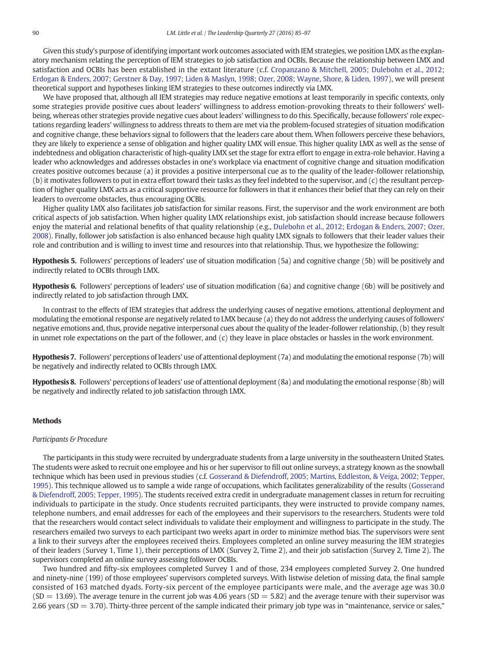Given this study's purpose of identifying important work outcomes associated with IEM strategies, we position LMX as the explanatory mechanism relating the perception of IEM strategies to job satisfaction and OCBIs. Because the relationship between LMX and satisfaction and OCBIs has been established in the extant literature (c.f. [Cropanzano & Mitchell, 2005; Dulebohn et al., 2012;](#page-10-0) [Erdogan & Enders, 2007; Gerstner & Day, 1997; Liden & Maslyn, 1998; Ozer, 2008; Wayne, Shore, & Liden, 1997\)](#page-10-0), we will present theoretical support and hypotheses linking IEM strategies to these outcomes indirectly via LMX.

We have proposed that, although all IEM strategies may reduce negative emotions at least temporarily in specific contexts, only some strategies provide positive cues about leaders' willingness to address emotion-provoking threats to their followers' wellbeing, whereas other strategies provide negative cues about leaders' willingness to do this. Specifically, because followers' role expectations regarding leaders' willingness to address threats to them are met via the problem-focused strategies of situation modification and cognitive change, these behaviors signal to followers that the leaders care about them. When followers perceive these behaviors, they are likely to experience a sense of obligation and higher quality LMX will ensue. This higher quality LMX as well as the sense of indebtedness and obligation characteristic of high-quality LMX set the stage for extra effort to engage in extra-role behavior. Having a leader who acknowledges and addresses obstacles in one's workplace via enactment of cognitive change and situation modification creates positive outcomes because (a) it provides a positive interpersonal cue as to the quality of the leader-follower relationship, (b) it motivates followers to put in extra effort toward their tasks as they feel indebted to the supervisor, and (c) the resultant perception of higher quality LMX acts as a critical supportive resource for followers in that it enhances their belief that they can rely on their leaders to overcome obstacles, thus encouraging OCBIs.

Higher quality LMX also facilitates job satisfaction for similar reasons. First, the supervisor and the work environment are both critical aspects of job satisfaction. When higher quality LMX relationships exist, job satisfaction should increase because followers enjoy the material and relational benefits of that quality relationship (e.g., [Dulebohn et al., 2012; Erdogan & Enders, 2007; Ozer,](#page-10-0) [2008\)](#page-10-0). Finally, follower job satisfaction is also enhanced because high quality LMX signals to followers that their leader values their role and contribution and is willing to invest time and resources into that relationship. Thus, we hypothesize the following:

Hypothesis 5. Followers' perceptions of leaders' use of situation modification (5a) and cognitive change (5b) will be positively and indirectly related to OCBIs through LMX.

Hypothesis 6. Followers' perceptions of leaders' use of situation modification (6a) and cognitive change (6b) will be positively and indirectly related to job satisfaction through LMX.

In contrast to the effects of IEM strategies that address the underlying causes of negative emotions, attentional deployment and modulating the emotional response are negatively related to LMX because (a) they do not address the underlying causes of followers' negative emotions and, thus, provide negative interpersonal cues about the quality of the leader-follower relationship, (b) they result in unmet role expectations on the part of the follower, and (c) they leave in place obstacles or hassles in the work environment.

Hypothesis 7. Followers' perceptions of leaders' use of attentional deployment (7a) and modulating the emotional response (7b) will be negatively and indirectly related to OCBIs through LMX.

Hypothesis 8. Followers' perceptions of leaders' use of attentional deployment (8a) and modulating the emotional response (8b) will be negatively and indirectly related to job satisfaction through LMX.

### Methods

### Participants & Procedure

The participants in this study were recruited by undergraduate students from a large university in the southeastern United States. The students were asked to recruit one employee and his or her supervisor to fill out online surveys, a strategy known as the snowball technique which has been used in previous studies (c.f. [Gosserand & Diefendroff, 2005; Martins, Eddleston, & Veiga, 2002; Tepper,](#page-11-0) [1995\)](#page-11-0). This technique allowed us to sample a wide range of occupations, which facilitates generalizability of the results ([Gosserand](#page-11-0) [& Diefendroff, 2005; Tepper, 1995\)](#page-11-0). The students received extra credit in undergraduate management classes in return for recruiting individuals to participate in the study. Once students recruited participants, they were instructed to provide company names, telephone numbers, and email addresses for each of the employees and their supervisors to the researchers. Students were told that the researchers would contact select individuals to validate their employment and willingness to participate in the study. The researchers emailed two surveys to each participant two weeks apart in order to minimize method bias. The supervisors were sent a link to their surveys after the employees received theirs. Employees completed an online survey measuring the IEM strategies of their leaders (Survey 1, Time 1), their perceptions of LMX (Survey 2, Time 2), and their job satisfaction (Survey 2, Time 2). The supervisors completed an online survey assessing follower OCBIs.

Two hundred and fifty-six employees completed Survey 1 and of those, 234 employees completed Survey 2. One hundred and ninety-nine (199) of those employees' supervisors completed surveys. With listwise deletion of missing data, the final sample consisted of 163 matched dyads. Forty-six percent of the employee participants were male, and the average age was 30.0  $(SD = 13.69)$ . The average tenure in the current job was 4.06 years  $(SD = 5.82)$  and the average tenure with their supervisor was 2.66 years (SD  $=$  3.70). Thirty-three percent of the sample indicated their primary job type was in "maintenance, service or sales,"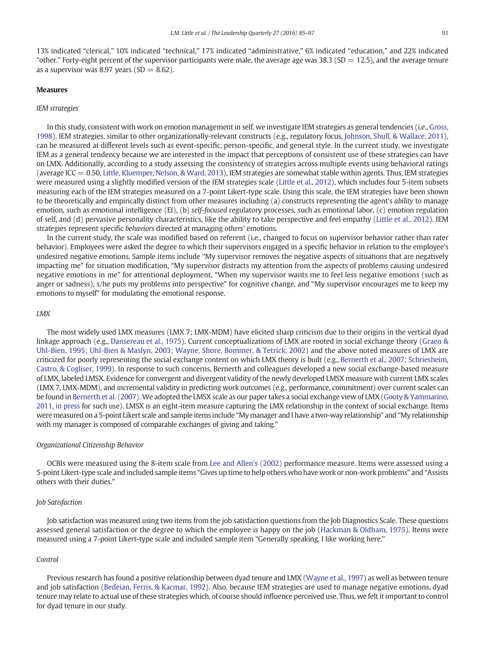13% indicated "clerical," 10% indicated "technical," 17% indicated "administrative," 6% indicated "education," and 22% indicated "other." Forty-eight percent of the supervisor participants were male, the average age was  $38.3$  (SD = 12.5), and the average tenure as a supervisor was 8.97 years (SD  $= 8.62$ ).

### Measures

### IEM strategies

In this study, consistent with work on emotion management in self, we investigate IEM strategies as general tendencies (i.e., [Gross,](#page-11-0) [1998](#page-11-0)). IEM strategies, similar to other organizationally-relevant constructs (e.g., regulatory focus, [Johnson, Shull, & Wallace, 2011](#page-11-0)), can be measured at different levels such as event-specific, person-specific, and general style. In the current study, we investigate IEM as a general tendency because we are interested in the impact that perceptions of consistent use of these strategies can have on LMX. Additionally, according to a study assessing the consistency of strategies across multiple events using behavioral ratings (average ICC = 0.50, [Little, Kluemper, Nelson, & Ward, 2013\)](#page-11-0), IEM strategies are somewhat stable within agents. Thus, IEM strategies were measured using a slightly modified version of the IEM strategies scale ([Little et al., 2012\)](#page-11-0), which includes four 5-item subsets measuring each of the IEM strategies measured on a 7-point Likert-type scale. Using this scale, the IEM strategies have been shown to be theoretically and empirically distinct from other measures including (a) constructs representing the agent's ability to manage emotion, such as emotional intelligence (EI), (b) self-focused regulatory processes, such as emotional labor, (c) emotion regulation of self, and (d) pervasive personality characteristics, like the ability to take perspective and feel empathy ([Little et al., 2012\)](#page-11-0). IEM strategies represent specific behaviors directed at managing others' emotions.

In the current study, the scale was modified based on referent (i.e., changed to focus on supervisor behavior rather than rater behavior). Employees were asked the degree to which their supervisors engaged in a specific behavior in relation to the employee's undesired negative emotions. Sample items include "My supervisor removes the negative aspects of situations that are negatively impacting me" for situation modification, "My supervisor distracts my attention from the aspects of problems causing undesired negative emotions in me" for attentional deployment, "When my supervisor wants me to feel less negative emotions (such as anger or sadness), s/he puts my problems into perspective" for cognitive change, and "My supervisor encourages me to keep my emotions to myself" for modulating the emotional response.

### LMX

The most widely used LMX measures (LMX 7; LMX-MDM) have elicited sharp criticism due to their origins in the vertical dyad linkage approach (e.g., [Dansereau et al., 1975](#page-10-0)). Current conceptualizations of LMX are rooted in social exchange theory [\(Graen &](#page-11-0) [Uhl-Bien, 1995; Uhl-Bien & Maslyn, 2003; Wayne, Shore, Bommer, & Tetrick, 2002\)](#page-11-0) and the above noted measures of LMX are criticized for poorly representing the social exchange content on which LMX theory is built (e.g., [Bernerth et al., 2007; Schriesheim,](#page-10-0) [Castro, & Cogliser, 1999](#page-10-0)). In response to such concerns, Bernerth and colleagues developed a new social exchange-based measure of LMX, labeled LMSX. Evidence for convergent and divergent validity of the newly developed LMSX measure with current LMX scales (LMX 7, LMX-MDM), and incremental validity in predicting work outcomes (e.g., performance, commitment) over current scales can be found in [Bernerth et al. \(2007\).](#page-10-0) We adopted the LMSX scale as our paper takes a social exchange view of LMX [\(Gooty & Yammarino,](#page-11-0) [2011, in press](#page-11-0) for such use). LMSX is an eight-item measure capturing the LMX relationship in the context of social exchange. Items were measured on a 5-point Likert scale and sample items include "My manager and I have a two-way relationship" and "My relationship with my manager is composed of comparable exchanges of giving and taking."

### Organizational Citizenship Behavior

OCBIs were measured using the 8-item scale from [Lee and Allen's \(2002\)](#page-11-0) performance measure. Items were assessed using a 5-point Likert-type scale and included sample items "Gives up time to help others who have work or non-work problems" and "Assists others with their duties."

### Job Satisfaction

Job satisfaction was measured using two items from the job satisfaction questions from the Job Diagnostics Scale. These questions assessed general satisfaction or the degree to which the employee is happy on the job ([Hackman & Oldham, 1975\)](#page-11-0). Items were measured using a 7-point Likert-type scale and included sample item "Generally speaking, I like working here."

### **Control**

Previous research has found a positive relationship between dyad tenure and LMX [\(Wayne et al., 1997](#page-12-0)) as well as between tenure and job satisfaction ([Bedeian, Ferris, & Kacmar, 1992\)](#page-10-0). Also, because IEM strategies are used to manage negative emotions, dyad tenure may relate to actual use of these strategies which, of course should influence perceived use. Thus, we felt it important to control for dyad tenure in our study.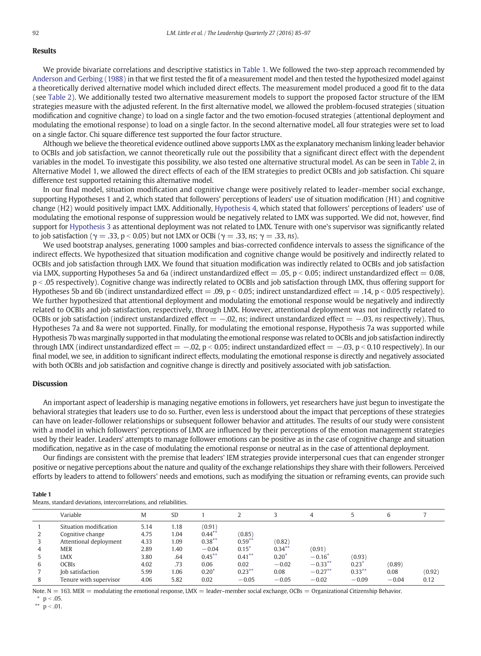## Results

We provide bivariate correlations and descriptive statistics in Table 1. We followed the two-step approach recommended by [Anderson and Gerbing \(1988\)](#page-10-0) in that we first tested the fit of a measurement model and then tested the hypothesized model against a theoretically derived alternative model which included direct effects. The measurement model produced a good fit to the data (see [Table 2](#page-8-0)). We additionally tested two alternative measurement models to support the proposed factor structure of the IEM strategies measure with the adjusted referent. In the first alternative model, we allowed the problem-focused strategies (situation modification and cognitive change) to load on a single factor and the two emotion-focused strategies (attentional deployment and modulating the emotional response) to load on a single factor. In the second alternative model, all four strategies were set to load on a single factor. Chi square difference test supported the four factor structure.

Although we believe the theoretical evidence outlined above supports LMX as the explanatory mechanism linking leader behavior to OCBIs and job satisfaction, we cannot theoretically rule out the possibility that a significant direct effect with the dependent variables in the model. To investigate this possibility, we also tested one alternative structural model. As can be seen in [Table 2](#page-8-0), in Alternative Model 1, we allowed the direct effects of each of the IEM strategies to predict OCBIs and job satisfaction. Chi square difference test supported retaining this alternative model.

In our final model, situation modification and cognitive change were positively related to leader–member social exchange, supporting Hypotheses 1 and 2, which stated that followers' perceptions of leaders' use of situation modification (H1) and cognitive change (H2) would positively impact LMX. Additionally, [Hypothesis 4](#page-4-0), which stated that followers' perceptions of leaders' use of modulating the emotional response of suppression would be negatively related to LMX was supported. We did not, however, find support for [Hypothesis 3](#page-4-0) as attentional deployment was not related to LMX. Tenure with one's supervisor was significantly related to job satisfaction ( $\gamma = .33$ , p < 0.05) but not LMX or OCBi ( $\gamma = .33$ , ns;  $\gamma = .33$ , ns).

We used bootstrap analyses, generating 1000 samples and bias-corrected confidence intervals to assess the significance of the indirect effects. We hypothesized that situation modification and cognitive change would be positively and indirectly related to OCBIs and job satisfaction through LMX. We found that situation modification was indirectly related to OCBIs and job satisfaction via LMX, supporting Hypotheses 5a and 6a (indirect unstandardized effect  $=$  .05, p < 0.05; indirect unstandardized effect  $=$  0.08, p < .05 respectively). Cognitive change was indirectly related to OCBIs and job satisfaction through LMX, thus offering support for Hypotheses 5b and 6b (indirect unstandardized effect = .09, p < 0.05; indirect unstandardized effect = .14, p < 0.05 respectively). We further hypothesized that attentional deployment and modulating the emotional response would be negatively and indirectly related to OCBIs and job satisfaction, respectively, through LMX. However, attentional deployment was not indirectly related to OCBIs or job satisfaction (indirect unstandardized effect =  $-.02$ , ns; indirect unstandardized effect =  $-.03$ , ns respectively). Thus, Hypotheses 7a and 8a were not supported. Finally, for modulating the emotional response, Hypothesis 7a was supported while Hypothesis 7b was marginally supported in that modulating the emotional response was related to OCBIs and job satisfaction indirectly through LMX (indirect unstandardized effect =  $-0.02$ , p < 0.05; indirect unstandardized effect =  $-0.03$ , p < 0.10 respectively). In our final model, we see, in addition to significant indirect effects, modulating the emotional response is directly and negatively associated with both OCBIs and job satisfaction and cognitive change is directly and positively associated with job satisfaction.

### Discussion

An important aspect of leadership is managing negative emotions in followers, yet researchers have just begun to investigate the behavioral strategies that leaders use to do so. Further, even less is understood about the impact that perceptions of these strategies can have on leader-follower relationships or subsequent follower behavior and attitudes. The results of our study were consistent with a model in which followers' perceptions of LMX are influenced by their perceptions of the emotion management strategies used by their leader. Leaders' attempts to manage follower emotions can be positive as in the case of cognitive change and situation modification, negative as in the case of modulating the emotional response or neutral as in the case of attentional deployment.

Our findings are consistent with the premise that leaders' IEM strategies provide interpersonal cues that can engender stronger positive or negative perceptions about the nature and quality of the exchange relationships they share with their followers. Perceived efforts by leaders to attend to followers' needs and emotions, such as modifying the situation or reframing events, can provide such

| Means, standard deviations, intercorrelations, and reliabilities. |  |  |  |  |  |
|-------------------------------------------------------------------|--|--|--|--|--|
|-------------------------------------------------------------------|--|--|--|--|--|

|             | Variable                                                                                                                                                | M                                                            | <b>SD</b>                                                  |                                                                                     |                                                                             |                                                              | 4                                                        |                                                       | 6                         |                |
|-------------|---------------------------------------------------------------------------------------------------------------------------------------------------------|--------------------------------------------------------------|------------------------------------------------------------|-------------------------------------------------------------------------------------|-----------------------------------------------------------------------------|--------------------------------------------------------------|----------------------------------------------------------|-------------------------------------------------------|---------------------------|----------------|
| 4<br>6<br>8 | Situation modification<br>Cognitive change<br>Attentional deployment<br><b>MER</b><br>LMX<br><b>OCBIs</b><br>Job satisfaction<br>Tenure with supervisor | 5.14<br>4.75<br>4.33<br>2.89<br>3.80<br>4.02<br>5.99<br>4.06 | 1.18<br>1.04<br>1.09<br>1.40<br>.64<br>.73<br>1.06<br>5.82 | (0.91)<br>$0.44***$<br>$0.38***$<br>$-0.04$<br>$0.45***$<br>0.06<br>$0.20*$<br>0.02 | (0.85)<br>$0.59***$<br>$0.15*$<br>$0.41***$<br>0.02<br>$0.23***$<br>$-0.05$ | (0.82)<br>$0.34***$<br>$0.20*$<br>$-0.02$<br>0.08<br>$-0.05$ | (0.91)<br>$-0.16*$<br>$-0.33***$<br>$-0.27**$<br>$-0.02$ | (0.93)<br>$0.23$ <sup>*</sup><br>$0.33***$<br>$-0.09$ | (0.89)<br>0.08<br>$-0.04$ | (0.92)<br>0.12 |

Note,  $N = 163$ . MER = modulating the emotional response, LMX = leader–member social exchange, OCBs = Organizational Citizenship Behavior.  $p < .05$ .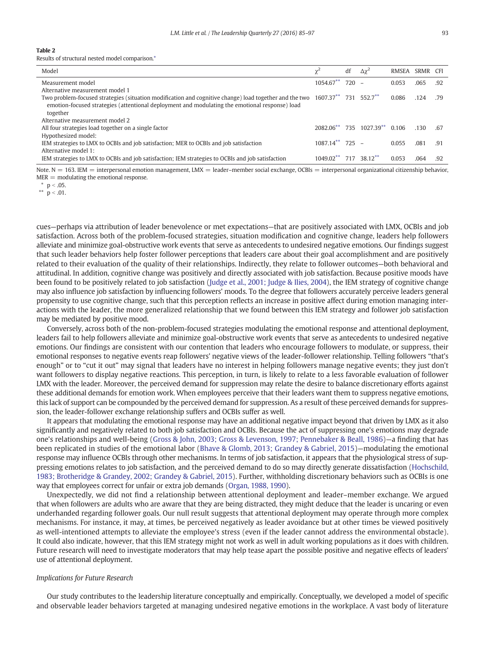### <span id="page-8-0"></span>Table 2

Results of structural nested model comparison.\*

| Model                                                                                                                   | $\mathbf{v}^2$          | df  | $\Delta \gamma^2$   | <b>RMSEA</b> | SRMR CFI |      |
|-------------------------------------------------------------------------------------------------------------------------|-------------------------|-----|---------------------|--------------|----------|------|
| Measurement model                                                                                                       | 1054.67**               | 720 |                     | 0.053        | .065     | .92  |
| Alternative measurement model 1                                                                                         |                         |     |                     |              |          |      |
| Two problem-focused strategies (situation modification and cognitive change) load together and the two $1607.37***$ 731 |                         |     | $552.7***$          | 0.086        | .124     | -79  |
| emotion-focused strategies (attentional deployment and modulating the emotional response) load                          |                         |     |                     |              |          |      |
| together                                                                                                                |                         |     |                     |              |          |      |
| Alternative measurement model 2                                                                                         |                         |     |                     |              |          |      |
| All four strategies load together on a single factor                                                                    | $2082.06***$            |     | 735 1027.39** 0.106 |              | .130     | - 67 |
| Hypothesized model:                                                                                                     |                         |     |                     |              |          |      |
| IEM strategies to LMX to OCBIs and job satisfaction; MER to OCBIs and job satisfaction                                  | $1087.14***$ 725        |     |                     | 0.055        | .081     | .91  |
| Alternative model 1:                                                                                                    |                         |     |                     |              |          |      |
| IEM strategies to LMX to OCBIs and job satisfaction; IEM strategies to OCBIs and job satisfaction                       | $1049.02$ <sup>**</sup> |     | 717 38.12**         | 0.053        | .064     | .92  |

Note.  $N = 163$ . IEM = interpersonal emotion management, LMX = leader–member social exchange, OCBIs = interpersonal organizational citizenship behavior,  $MER$  = modulating the emotional response.

 $p < .05$ .

\*\*  $p < .01$ .

cues—perhaps via attribution of leader benevolence or met expectations—that are positively associated with LMX, OCBIs and job satisfaction. Across both of the problem-focused strategies, situation modification and cognitive change, leaders help followers alleviate and minimize goal-obstructive work events that serve as antecedents to undesired negative emotions. Our findings suggest that such leader behaviors help foster follower perceptions that leaders care about their goal accomplishment and are positively related to their evaluation of the quality of their relationships. Indirectly, they relate to follower outcomes—both behavioral and attitudinal. In addition, cognitive change was positively and directly associated with job satisfaction. Because positive moods have been found to be positively related to job satisfaction [\(Judge et al., 2001; Judge & Ilies, 2004](#page-11-0)), the IEM strategy of cognitive change may also influence job satisfaction by influencing followers' moods. To the degree that followers accurately perceive leaders general propensity to use cognitive change, such that this perception reflects an increase in positive affect during emotion managing interactions with the leader, the more generalized relationship that we found between this IEM strategy and follower job satisfaction may be mediated by positive mood.

Conversely, across both of the non-problem-focused strategies modulating the emotional response and attentional deployment, leaders fail to help followers alleviate and minimize goal-obstructive work events that serve as antecedents to undesired negative emotions. Our findings are consistent with our contention that leaders who encourage followers to modulate, or suppress, their emotional responses to negative events reap followers' negative views of the leader-follower relationship. Telling followers "that's enough" or to "cut it out" may signal that leaders have no interest in helping followers manage negative events; they just don't want followers to display negative reactions. This perception, in turn, is likely to relate to a less favorable evaluation of follower LMX with the leader. Moreover, the perceived demand for suppression may relate the desire to balance discretionary efforts against these additional demands for emotion work. When employees perceive that their leaders want them to suppress negative emotions, this lack of support can be compounded by the perceived demand for suppression. As a result of these perceived demands for suppression, the leader-follower exchange relationship suffers and OCBIs suffer as well.

It appears that modulating the emotional response may have an additional negative impact beyond that driven by LMX as it also significantly and negatively related to both job satisfaction and OCBIs. Because the act of suppressing one's emotions may degrade one's relationships and well-being [\(Gross & John, 2003; Gross & Levenson, 1997; Pennebaker & Beall, 1986](#page-11-0))—a finding that has been replicated in studies of the emotional labor [\(Bhave & Glomb, 2013; Grandey & Gabriel, 2015](#page-10-0))—modulating the emotional response may influence OCBIs through other mechanisms. In terms of job satisfaction, it appears that the physiological stress of suppressing emotions relates to job satisfaction, and the perceived demand to do so may directly generate dissatisfaction [\(Hochschild,](#page-11-0) [1983; Brotheridge & Grandey, 2002; Grandey & Gabriel, 2015\)](#page-11-0). Further, withholding discretionary behaviors such as OCBIs is one way that employees correct for unfair or extra job demands ([Organ, 1988, 1990](#page-12-0)).

Unexpectedly, we did not find a relationship between attentional deployment and leader–member exchange. We argued that when followers are adults who are aware that they are being distracted, they might deduce that the leader is uncaring or even underhanded regarding follower goals. Our null result suggests that attentional deployment may operate through more complex mechanisms. For instance, it may, at times, be perceived negatively as leader avoidance but at other times be viewed positively as well-intentioned attempts to alleviate the employee's stress (even if the leader cannot address the environmental obstacle). It could also indicate, however, that this IEM strategy might not work as well in adult working populations as it does with children. Future research will need to investigate moderators that may help tease apart the possible positive and negative effects of leaders' use of attentional deployment.

### Implications for Future Research

Our study contributes to the leadership literature conceptually and empirically. Conceptually, we developed a model of specific and observable leader behaviors targeted at managing undesired negative emotions in the workplace. A vast body of literature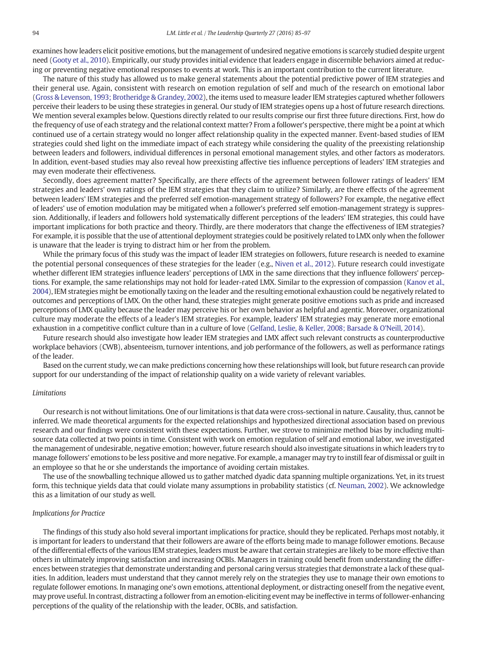examines how leaders elicit positive emotions, but the management of undesired negative emotions is scarcely studied despite urgent need [\(Gooty et al., 2010\)](#page-11-0). Empirically, our study provides initial evidence that leaders engage in discernible behaviors aimed at reducing or preventing negative emotional responses to events at work. This is an important contribution to the current literature.

The nature of this study has allowed us to make general statements about the potential predictive power of IEM strategies and their general use. Again, consistent with research on emotion regulation of self and much of the research on emotional labor [\(Gross & Levenson, 1993; Brotheridge & Grandey, 2002\)](#page-11-0), the items used to measure leader IEM strategies captured whether followers perceive their leaders to be using these strategies in general. Our study of IEM strategies opens up a host of future research directions. We mention several examples below. Questions directly related to our results comprise our first three future directions. First, how do the frequency of use of each strategy and the relational context matter? From a follower's perspective, there might be a point at which continued use of a certain strategy would no longer affect relationship quality in the expected manner. Event-based studies of IEM strategies could shed light on the immediate impact of each strategy while considering the quality of the preexisting relationship between leaders and followers, individual differences in personal emotional management styles, and other factors as moderators. In addition, event-based studies may also reveal how preexisting affective ties influence perceptions of leaders' IEM strategies and may even moderate their effectiveness.

Secondly, does agreement matter? Specifically, are there effects of the agreement between follower ratings of leaders' IEM strategies and leaders' own ratings of the IEM strategies that they claim to utilize? Similarly, are there effects of the agreement between leaders' IEM strategies and the preferred self emotion-management strategy of followers? For example, the negative effect of leaders' use of emotion modulation may be mitigated when a follower's preferred self emotion-management strategy is suppression. Additionally, if leaders and followers hold systematically different perceptions of the leaders' IEM strategies, this could have important implications for both practice and theory. Thirdly, are there moderators that change the effectiveness of IEM strategies? For example, it is possible that the use of attentional deployment strategies could be positively related to LMX only when the follower is unaware that the leader is trying to distract him or her from the problem.

While the primary focus of this study was the impact of leader IEM strategies on followers, future research is needed to examine the potential personal consequences of these strategies for the leader (e.g., [Niven et al., 2012\)](#page-11-0). Future research could investigate whether different IEM strategies influence leaders' perceptions of LMX in the same directions that they influence followers' perceptions. For example, the same relationships may not hold for leader-rated LMX. Similar to the expression of compassion [\(Kanov et al.,](#page-11-0) [2004\)](#page-11-0), IEM strategies might be emotionally taxing on the leader and the resulting emotional exhaustion could be negatively related to outcomes and perceptions of LMX. On the other hand, these strategies might generate positive emotions such as pride and increased perceptions of LMX quality because the leader may perceive his or her own behavior as helpful and agentic. Moreover, organizational culture may moderate the effects of a leader's IEM strategies. For example, leaders' IEM strategies may generate more emotional exhaustion in a competitive conflict culture than in a culture of love [\(Gelfand, Leslie, & Keller, 2008; Barsade & O'Neill, 2014](#page-11-0)).

Future research should also investigate how leader IEM strategies and LMX affect such relevant constructs as counterproductive workplace behaviors (CWB), absenteeism, turnover intentions, and job performance of the followers, as well as performance ratings of the leader.

Based on the current study, we can make predictions concerning how these relationships will look, but future research can provide support for our understanding of the impact of relationship quality on a wide variety of relevant variables.

### **Limitations**

Our research is not without limitations. One of our limitations is that data were cross-sectional in nature. Causality, thus, cannot be inferred. We made theoretical arguments for the expected relationships and hypothesized directional association based on previous research and our findings were consistent with these expectations. Further, we strove to minimize method bias by including multisource data collected at two points in time. Consistent with work on emotion regulation of self and emotional labor, we investigated the management of undesirable, negative emotion; however, future research should also investigate situations in which leaders try to manage followers' emotions to be less positive and more negative. For example, a manager may try to instill fear of dismissal or guilt in an employee so that he or she understands the importance of avoiding certain mistakes.

The use of the snowballing technique allowed us to gather matched dyadic data spanning multiple organizations. Yet, in its truest form, this technique yields data that could violate many assumptions in probability statistics (cf. [Neuman, 2002](#page-11-0)). We acknowledge this as a limitation of our study as well.

### Implications for Practice

The findings of this study also hold several important implications for practice, should they be replicated. Perhaps most notably, it is important for leaders to understand that their followers are aware of the efforts being made to manage follower emotions. Because of the differential effects of the various IEM strategies, leaders must be aware that certain strategies are likely to be more effective than others in ultimately improving satisfaction and increasing OCBIs. Managers in training could benefit from understanding the differences between strategies that demonstrate understanding and personal caring versus strategies that demonstrate a lack of these qualities. In addition, leaders must understand that they cannot merely rely on the strategies they use to manage their own emotions to regulate follower emotions. In managing one's own emotions, attentional deployment, or distracting oneself from the negative event, may prove useful. In contrast, distracting a follower from an emotion-eliciting event may be ineffective in terms of follower-enhancing perceptions of the quality of the relationship with the leader, OCBIs, and satisfaction.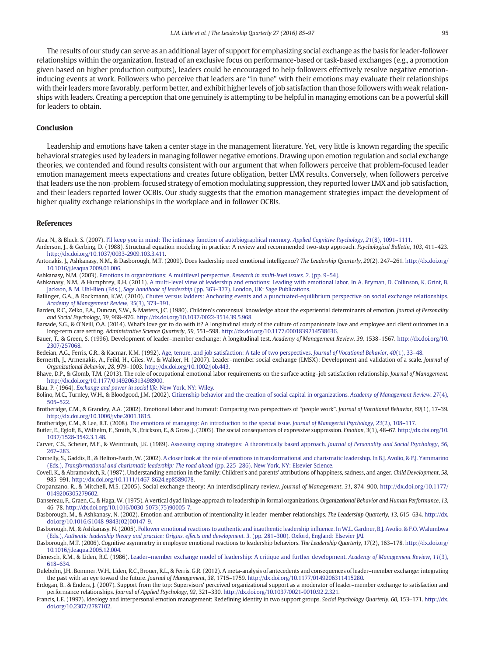<span id="page-10-0"></span>The results of our study can serve as an additional layer of support for emphasizing social exchange as the basis for leader-follower relationships within the organization. Instead of an exclusive focus on performance-based or task-based exchanges (e.g., a promotion given based on higher production outputs), leaders could be encouraged to help followers effectively resolve negative emotioninducing events at work. Followers who perceive that leaders are "in tune" with their emotions may evaluate their relationships with their leaders more favorably, perform better, and exhibit higher levels of job satisfaction than those followers with weak relationships with leaders. Creating a perception that one genuinely is attempting to be helpful in managing emotions can be a powerful skill for leaders to obtain.

### Conclusion

Leadership and emotions have taken a center stage in the management literature. Yet, very little is known regarding the specific behavioral strategies used by leaders in managing follower negative emotions. Drawing upon emotion regulation and social exchange theories, we contended and found results consistent with our argument that when followers perceive that problem-focused leader emotion management meets expectations and creates future obligation, better LMX results. Conversely, when followers perceive that leaders use the non-problem-focused strategy of emotion modulating suppression, they reported lower LMX and job satisfaction, and their leaders reported lower OCBIs. Our study suggests that the emotion management strategies impact the development of higher quality exchange relationships in the workplace and in follower OCBIs.

### References

Alea, N., & Bluck, S. (2007). [I'll keep you in mind: The intimacy function of autobiographical memory.](http://refhub.elsevier.com/S1048-9843(15)00100-9/rf0005) Applied Cognitive Psychology, 21(8), 1091–1111.

- Anderson, J., & Gerbing, D. (1988). Structural equation modeling in practice: A review and recommended two-step approach. Psychological Bulletin, 103, 411–423. http://dx.doi.org[/10.1037/0033-2909.103.3.411.](http://dx.doi.org/10.1037/0033-2909.103.3.411)
- Antonakis, J., Ashkanasy, N.M., & Dasborough, M.T. (2009). Does leadership need emotional intelligence? The Leadership Quarterly, 20(2), 247–261. http://dx.doi.org/ [10.1016/j.leaqua.2009.01.006](http://dx.doi.org/10.1016/j.leaqua.2009.01.006).
- Ashkanasy, N.M. (2003). [Emotions in organizations: A multilevel perspective.](http://refhub.elsevier.com/S1048-9843(15)00100-9/rf0020) Research in multi-level issues. 2. (pp. 9–54).

Ashkanasy, N.M., & Humphrey, R.H. (2011). [A multi-level view of leadership and emotions: Leading with emotional labor. In A. Bryman, D. Collinson, K. Grint, B.](http://refhub.elsevier.com/S1048-9843(15)00100-9/rf0025) Jackson, & M. Uhl-Bien (Eds.), Sage handbook of leadership (pp. 363–[377\). London, UK: Sage Publications.](http://refhub.elsevier.com/S1048-9843(15)00100-9/rf0025)

- Ballinger, G.A., & Rockmann, K.W. (2010). [Chutes versus ladders: Anchoring events and a punctuated-equilibrium perspective on social exchange relationships.](http://refhub.elsevier.com/S1048-9843(15)00100-9/rf0030) [Academy of Management Review](http://refhub.elsevier.com/S1048-9843(15)00100-9/rf0030), 35(3), 373–391.
- Barden, R.C., Zelko, F.A., Duncan, S.W., & Masters, J.C. (1980). Children's consensual knowledge about the experiential determinants of emotion. Journal of Personality and Social Psychology, 39, 968–976. http://dx.doi.org[/10.1037/0022-3514.39.5.968](http://dx.doi.org/10.1037/0022-3514.39.5.968).
- Barsade, S.G., & O'Neill, O.A. (2014). What's love got to do with it? A longitudinal study of the culture of companionate love and employee and client outcomes in a long-term care setting. Administrative Science Quarterly, 59, 551–598. http://dx.doi.org[/10.1177/0001839214538636.](http://dx.doi.org/10.1177/0001839214538636)
- Bauer, T., & Green, S. (1996). Development of leader–member exchange: A longitudinal test. Academy of Management Review, 39, 1538–1567. http://dx.doi.org/[10.](http://dx.doi.org/10.2307/257068) [2307/257068.](http://dx.doi.org/10.2307/257068)
- Bedeian, A.G., Ferris, G.R., & Kacmar, K.M. (1992). [Age, tenure, and job satisfaction: A tale of two perspectives.](http://refhub.elsevier.com/S1048-9843(15)00100-9/rf0050) Journal of Vocational Behavior, 40(1), 33-48.
- Bernerth, J., Armenakis, A., Feild, H., Giles, W., & Walker, H. (2007). Leader–member social exchange (LMSX): Development and validation of a scale. Journal of Organizational Behavior, 28, 979–1003. http://dx.doi.org/[10.1002/job.443.](http://dx.doi.org/10.1002/job.443)
- Bhave, D.P., & Glomb, T.M. (2013). The role of occupational emotional labor requirements on the surface acting-job satisfaction relationship. Journal of Management. http://dx.doi.org[/10.1177/0149206313498900.](http://dx.doi.org/10.1177/0149206313498900)
- Blau, P. (1964). [Exchange and power in social life.](http://refhub.elsevier.com/S1048-9843(15)00100-9/rf0065) New York, NY: Wiley.
- Bolino, M.C., Turnley, W.H., & Bloodgood, J.M. (2002). [Citizenship behavior and the creation of social capital in organizations.](http://refhub.elsevier.com/S1048-9843(15)00100-9/rf0070) Academy of Management Review, 27(4), 505–[522.](http://refhub.elsevier.com/S1048-9843(15)00100-9/rf0070)
- Brotheridge, C.M., & Grandey, A.A. (2002). Emotional labor and burnout: Comparing two perspectives of "people work". Journal of Vocational Behavior, 60(1), 17-39. http://dx.doi.org[/10.1006/jvbe.2001.1815](http://dx.doi.org/10.1006/jvbe.2001.1815).
- Brotheridge, C.M., & Lee, R.T. (2008). [The emotions of managing: An introduction to the special issue.](http://refhub.elsevier.com/S1048-9843(15)00100-9/rf0080) Journal of Managerial Psychology, 23(2), 108–117.
- Butler, E., Egloff, B., Wilhelm, F., Smith, N., Erickson, E., & Gross, J. (2003). The social consequences of expressive suppression. Emotion, 3(1), 48–67. http://dx.doi.org[/10.](http://dx.doi.org/10.1037/1528-3542.3.1.48) [1037/1528-3542.3.1.48.](http://dx.doi.org/10.1037/1528-3542.3.1.48)
- Carver, C.S., Scheier, M.F., & Weintraub, J.K. (1989). [Assessing coping strategies: A theoretically based approach.](http://refhub.elsevier.com/S1048-9843(15)00100-9/rf0090) Journal of Personality and Social Psychology, 56, 267–[283.](http://refhub.elsevier.com/S1048-9843(15)00100-9/rf0090)
- Connelly, S., Gaddis, B., & Helton-Fauth, W. (2002). [A closer look at the role of emotions in transformational and charismatic leadership. In B.J. Avolio, & F.J. Yammarino](http://refhub.elsevier.com/S1048-9843(15)00100-9/rf0095) (Eds.), [Transformational and charismatic leadership: The road ahead](http://refhub.elsevier.com/S1048-9843(15)00100-9/rf0095) (pp. 225–286). New York, NY: Elsevier Science.
- Covell, K., & Abramovitch, R. (1987). Understanding emotion in the family: Children's and parents' attributions of happiness, sadness, and anger. Child Development, 58, 985–991. http://dx.doi.org[/10.1111/1467-8624.ep8589078](http://dx.doi.org/10.1111/1467-8624.ep8589078).
- Cropanzano, R., & Mitchell, M.S. (2005). Social exchange theory: An interdisciplinary review. Journal of Management, 31, 874–900. http://dx.doi.org[/10.1177/](http://dx.doi.org/10.1177/0149206305279602) [0149206305279602](http://dx.doi.org/10.1177/0149206305279602).
- Dansereau, F., Graen, G., & Haga, W. (1975). A vertical dyad linkage approach to leadership in formal organizations. Organizational Behavior and Human Performance, 13, 46–78. http://dx.doi.org[/10.1016/0030-5073\(75\)90005-7](http://dx.doi.org/10.1016/0030-5073(75)90005-7).
- Dasborough, M., & Ashkanasy, N. (2002). Emotion and attribution of intentionality in leader-member relationships. The Leadership Quarterly, 13, 615-634. http://dx. doi.org[/10.1016/S1048-9843\(02\)00147-9.](http://dx.doi.org/10.1016/S1048-9843(02)00147-9)
- Dasborough, M., & Ashkanasy, N. (2005). [Follower emotional reactions to authentic and inauthentic leadership influence. In W.L. Gardner, B.J. Avolio, & F.O. Walumbwa](http://refhub.elsevier.com/S1048-9843(15)00100-9/rf0120) (Eds.), [Authentic leadership theory and practice: Origins, effects and development. 3](http://refhub.elsevier.com/S1048-9843(15)00100-9/rf0120). (pp. 281–300). Oxford, England: Elsevier JAI.
- Dasborough, M.T. (2006). Cognitive asymmetry in employee emotional reactions to leadership behaviors. The Leadership Quarterly, 17(2), 163-178. http://dx.doi.org/ [10.1016/j.leaqua.2005.12.004](http://dx.doi.org/10.1016/j.leaqua.2005.12.004).
- Dienesch, R.M., & Liden, R.C. (1986). Leader–[member exchange model of leadership: A critique and further development.](http://refhub.elsevier.com/S1048-9843(15)00100-9/rf0130) Academy of Management Review, 11(3), 618–[634.](http://refhub.elsevier.com/S1048-9843(15)00100-9/rf0130)
- Dulebohn, J.H., Bommer, W.H., Liden, R.C., Brouer, R.L., & Ferris, G.R. (2012). A meta-analysis of antecedents and consequences of leader–member exchange: integrating the past with an eye toward the future. Journal of Management, 38, 1715–1759. http://dx.doi.org[/10.1177/0149206311415280.](http://dx.doi.org/10.1177/0149206311415280)
- Erdogan, B., & Enders, J. (2007). Support from the top: Supervisors' perceived organizational support as a moderator of leader–member exchange to satisfaction and performance relationships. Journal of Applied Psychology, 92, 321–330. http://dx.doi.org/[10.1037/0021-9010.92.2.321.](http://dx.doi.org/10.1037/0021-9010.92.2.321)
- Francis, L.E. (1997). Ideology and interpersonal emotion management: Redefining identity in two support groups. Social Psychology Quarterly, 60, 153-171. http://dx. doi.org[/10.2307/2787102.](http://dx.doi.org/10.2307/2787102)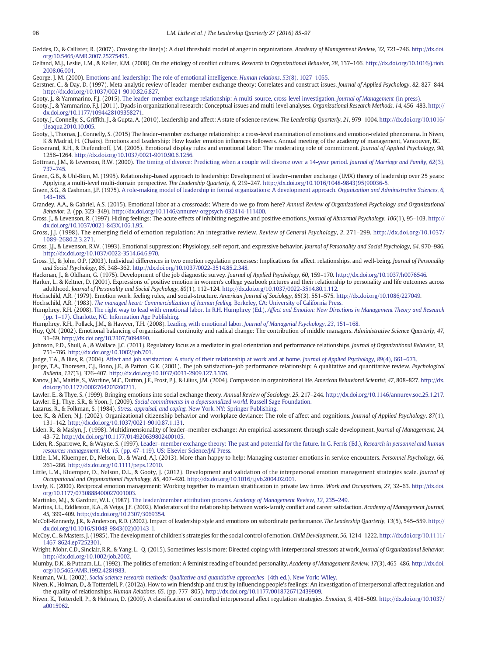<span id="page-11-0"></span>Geddes, D., & Callister, R. (2007). Crossing the line(s): A dual threshold model of anger in organizations. Academy of Management Review, 32, 721–746. http://dx.doi. org[/10.5465/AMR.2007.25275495](http://dx.doi.org/10.5465/AMR.2007.25275495).

Gelfand, M.J., Leslie, L.M., & Keller, K.M. (2008). On the etiology of conflict cultures. Research in Organizational Behavior, 28, 137-166. http://dx.doi.org[/10.1016/j.riob.](http://dx.doi.org/10.1016/j.riob.2008.06.001) [2008.06.001.](http://dx.doi.org/10.1016/j.riob.2008.06.001)

George, J. M. (2000). [Emotions and leadership: The role of emotional intelligence.](http://refhub.elsevier.com/S1048-9843(15)00100-9/rf9000) Human relations, 53(8), 1027–1055.

Gerstner, C., & Day, D. (1997). Meta-analytic review of leader–member exchange theory: Correlates and construct issues. Journal of Applied Psychology, 82, 827–844. http://dx.doi.org/[10.1037/0021-9010.82.6.827.](http://dx.doi.org/10.1037/0021-9010.82.6.827)

Gooty, J., & Yammarino, F.J. (2015). The leader–[member exchange relationship: A multi-source, cross-level investigation.](http://refhub.elsevier.com/S1048-9843(15)00100-9/rf0165) Journal of Management (in press).

Gooty, J., & Yammarino, F.J. (2011). Dyads in organizational research: Conceptual issues and multi-level analyses. Organizational Research Methods, 14, 456–483. http:// dx.doi.org[/10.1177/1094428109358271.](http://dx.doi.org/10.1177/1094428109358271)

Gooty, J., Connelly, S., Griffith, J., & Gupta, A. (2010). Leadership and affect: A state of science review. The Leadership Quarterly, 21, 979-1004. http://dx.doi.org[/10.1016/](http://dx.doi.org/10.1016/j.leaqua.2010.10.005) [j.leaqua.2010.10.005.](http://dx.doi.org/10.1016/j.leaqua.2010.10.005)

Gooty, J., Thomas, J., Connelly, S. (2015) The leader–member exchange relationship: a cross-level examination of emotions and emotion-related phenomena. In Niven, K & Madrid, H. (Chairs). Emotions and Leadership: How leader emotion influences followers. Annual meeting of the academy of management, Vancouver, BC.

Gosserand, R.H., & Diefendroff, J.M. (2005). Emotional display rules and emotional labor: The moderating role of commitment. Journal of Applied Psychology, 90, 1256–1264. http://dx.doi.org/[10.1037/0021-9010.90.6.1256.](http://dx.doi.org/10.1037/0021-9010.90.6.1256)

Gottman, J.M., & Levenson, R.W. (2000). [The timing of divorce: Predicting when a couple will divorce over a 14-year period.](http://refhub.elsevier.com/S1048-9843(15)00100-9/rf0185) Journal of Marriage and Family, 62(3), 737–[745.](http://refhub.elsevier.com/S1048-9843(15)00100-9/rf0185)

Graen, G.B., & Uhl-Bien, M. (1995). Relationship-based approach to leadership: Development of leader–member exchange (LMX) theory of leadership over 25 years: Applying a multi-level multi-domain perspective. The Leadership Quarterly, 6, 219–247. http://dx.doi.org[/10.1016/1048-9843\(95\)90036-5.](http://dx.doi.org/10.1016/1048-9843(95)90036-5)

Graen, S.G., & Cashman, J.F. (1975). [A role-making model of leadership in formal organizations: A development approach.](http://refhub.elsevier.com/S1048-9843(15)00100-9/rf0195) Organization and Administrative Sciences, 6, 143–[165.](http://refhub.elsevier.com/S1048-9843(15)00100-9/rf0195)

Grandey, A.A., & Gabriel, A.S. (2015). Emotional labor at a crossroads: Where do we go from here? Annual Review of Organizational Psychology and Organizational Behavior. 2. (pp. 323–349). http://dx.doi.org/[10.1146/annurev-orgpsych-032414-111400.](http://dx.doi.org/10.1146/annurev-orgpsych-032414-111400)

Gross, J., & Levenson, R. (1997). Hiding feelings: The acute effects of inhibiting negative and positive emotions. Journal of Abnormal Psychology, 106(1), 95–103. http:// dx.doi.org[/10.1037/0021-843X.106.1.95](http://dx.doi.org/10.1037/0021-843X.106.1.95).

Gross, J.J. (1998). The emerging field of emotion regulation: An integrative review. Review of General Psychology, 2, 271–299. http://dx.doi.org/[10.1037/](http://dx.doi.org/10.1037/1089-2680.2.3.271) [1089-2680.2.3.271](http://dx.doi.org/10.1037/1089-2680.2.3.271).

Gross, J.J., & Levenson, R.W. (1993). Emotional suppression: Physiology, self-report, and expressive behavior. Journal of Personality and Social Psychology, 64, 970–986. http://dx.doi.org/[10.1037/0022-3514.64.6.970.](http://dx.doi.org/10.1037/0022-3514.64.6.970)

Gross, J.J., & John, O.P. (2003). Individual differences in two emotion regulation processes: Implications for affect, relationships, and well-being. Journal of Personality and Social Psychology, 85, 348–362. http://dx.doi.org/[10.1037/0022-3514.85.2.348](http://dx.doi.org/10.1037/0022-3514.85.2.348).

Hackman, J., & Oldham, G. (1975). Development of the job diagnostic survey. Journal of Applied Psychology, 60, 159–170. http://dx.doi.org/[10.1037/h0076546](http://dx.doi.org/10.1037/h0076546).

Harker, L., & Keltner, D. (2001). Expressions of positive emotion in women's college yearbook pictures and their relationship to personality and life outcomes across adulthood. Journal of Personality and Social Psychology, 80(1), 112–124. http://dx.doi.org[/10.1037/0022-3514.80.1.112](http://dx.doi.org/10.1037/0022-3514.80.1.112).

Hochschild, A.R. (1979). Emotion work, feeling rules, and social-structure. American Journal of Sociology, 85(3), 551–575. http://dx.doi.org[/10.1086/227049.](http://dx.doi.org/10.1086/227049)

Hochschild, A.R. (1983). [The managed heart: Commercialization of human feeling.](http://refhub.elsevier.com/S1048-9843(15)00100-9/rf0245) Berkeley, CA: University of California Press.

Humphrey, R.H. (2008). The right way to lead with emotional labor. In R.H. Humphrey (Ed.), [Affect and Emotion: New Directions in Management Theory and Research](http://refhub.elsevier.com/S1048-9843(15)00100-9/rf0250) (pp. 1–[17\). Charlotte, NC: Information Age Publishing.](http://refhub.elsevier.com/S1048-9843(15)00100-9/rf0250)

Humphrey, R.H., Pollack, J.M., & Hawver, T.H. (2008). Leading with emotional labor. [Journal of Managerial Psychology](http://refhub.elsevier.com/S1048-9843(15)00100-9/rf0255), 23, 151–168.

Huy, Q.N. (2002). Emotional balancing of organizational continuity and radical change: The contribution of middle managers. Administrative Science Quarterly, 47, 31–69. http://dx.doi.org/[10.2307/3094890](http://dx.doi.org/10.2307/3094890).

Johnson, P.D., Shull, A., & Wallace, J.C. (2011). Regulatory focus as a mediator in goal orientation and performance relationships. Journal of Organizational Behavior, 32, 751–766. http://dx.doi.org/[10.1002/job.701.](http://dx.doi.org/10.1002/job.701)

Judge, T.A., & Ilies, R. (2004). [Affect and job satisfaction: A study of their relationship at work and at home.](http://refhub.elsevier.com/S1048-9843(15)00100-9/rf0270) Journal of Applied Psychology, 89(4), 661–673.

Judge, T.A., Thoresen, C.J., Bono, J.E., & Patton, G.K. (2001). The job satisfaction–job performance relationship: A qualitative and quantitative review. Psychological Bulletin, 127(3), 376–407. http://dx.doi.org[/10.1037/0033-2909.127.3.376](http://dx.doi.org/10.1037/0033-2909.127.3.376).

Kanov, J.M., Maitlis, S., Worline, M.C., Dutton, J.E., Frost, P.J., & Lilius, J.M. (2004). Compassion in organizational life. American Behavioral Scientist, 47, 808-827. http://dx. doi.org/[10.1177/0002764203260211.](http://dx.doi.org/10.1177/0002764203260211)

Lawler, E., & Thye, S. (1999). Bringing emotions into social exchange theory. Annual Review of Sociology, 25, 217–244. http://dx.doi.org[/10.1146/annurev.soc.25.1.217.](http://dx.doi.org/10.1146/annurev.soc.25.1.217) Lawler, E.J., Thye, S.R., & Yoon, J. (2009). [Social commitments in a depersonalized world.](http://refhub.elsevier.com/S1048-9843(15)00100-9/rf0290) Russell Sage Foundation.

Lazarus, R., & Folkman, S. (1984). Stress, appraisal, and coping. New York, NY: Springer Publishing

Lee, K., & Allen, N.J. (2002). Organizational citizenship behavior and workplace deviance: The role of affect and cognitions. Journal of Applied Psychology, 87(1), 131–142. http://dx.doi.org/[10.1037/0021-9010.87.1.131](http://dx.doi.org/10.1037/0021-9010.87.1.131).

Liden, R., & Maslyn, J. (1998). Multidimensionality of leader-member exchange: An empirical assessment through scale development. Journal of Management, 24, 43–72. http://dx.doi.org/[10.1177/014920639802400105.](http://dx.doi.org/10.1177/014920639802400105)

Liden, R., Sparrowe, R., & Wayne, S. (1997). Leader–[member exchange theory: The past and potential for the future. In G. Ferris \(Ed.\),](http://refhub.elsevier.com/S1048-9843(15)00100-9/rf0310) Research in personnel and human resources management. Vol. 15. (pp. 47–[119\). US: Elsevier Science/JAI Press.](http://refhub.elsevier.com/S1048-9843(15)00100-9/rf0310)

Little, L.M., Kluemper, D., Nelson, D., & Ward, A.J. (2013). More than happy to help: Managing customer emotions in service encounters. Personnel Psychology, 66, 261–286. http://dx.doi.org/[10.1111/peps.12010](http://dx.doi.org/10.1111/peps.12010).

Little, L.M., Kluemper, D., Nelson, D.L., & Gooty, J. (2012). Development and validation of the interpersonal emotion management strategies scale. Journal of Occupational and Organizational Psychology, 85, 407–420. http://dx.doi.org/[10.1016/j.jvb.2004.02.001](http://dx.doi.org/10.1016/j.jvb.2004.02.001).

Lively, K. (2000). Reciprocal emotion management: Working together to maintain stratification in private law firms. Work and Occupations, 27, 32–63. http://dx.doi. org[/10.1177/0730888400027001003.](http://dx.doi.org/10.1177/0730888400027001003)

Martinko, M.J., & Gardner, W.L. (1987). [The leader/member attribution process.](http://refhub.elsevier.com/S1048-9843(15)00100-9/rf0330) Academy of Management Review, 12, 235–249.

Martins, L.L., Eddleston, K.A., & Veiga, J.F. (2002). Moderators of the relationship between work-family conflict and career satisfaction. Academy of Management Journal, 45, 399–409. http://dx.doi.org/[10.2307/3069354.](http://dx.doi.org/10.2307/3069354)

McColl-Kennedy, J.R., & Anderson, R.D. (2002). Impact of leadership style and emotions on subordinate performance. The Leadership Quarterly, 13(5), 545–559. http:// dx.doi.org[/10.1016/S1048-9843\(02\)00143-1.](http://dx.doi.org/10.1016/S1048-9843(02)00143-1)

McCoy, C., & Masters, J. (1985). The development of children's strategies for the social control of emotion. Child Development, 56, 1214-1222. http://dx.doi.org[/10.1111/](http://dx.doi.org/10.1111/1467-8624.ep7252301) [1467-8624.ep7252301.](http://dx.doi.org/10.1111/1467-8624.ep7252301)

Wright, Mohr, C.D., Sinclair, R.R., & Yang, L. -Q. (2015). Sometimes less is more: Directed coping with interpersonal stressors at work. Journal of Organizational Behavior. http://dx.doi.org/[10.1002/job.2002.](http://dx.doi.org/10.1002/job.2002)

Mumby, D.K., & Putnam, L.L. (1992). The politics of emotion: A feminist reading of bounded personality. Academy of Management Review, 17(3), 465–486. http://dx.doi. org[/10.5465/AMR.1992.4281983.](http://dx.doi.org/10.5465/AMR.1992.4281983)

Neuman, W.L. (2002). [Social science research methods: Qualitative and quantiative approaches](http://refhub.elsevier.com/S1048-9843(15)00100-9/rf0360) (4th ed.). New York: Wiley.

Niven, K., Holman, D., & Totterdell, P. (2012a). How to win friendship and trust by influencing people's feelings: An investigation of interpersonal affect regulation and the quality of relationships. Human Relations. 65. (pp. 777–805). http://dx.doi.org/[10.1177/0018726712439909](http://dx.doi.org/10.1177/0018726712439909).

Niven, K., Totterdell, P., & Holman, D. (2009). A classification of controlled interpersonal affect regulation strategies. Emotion, 9, 498–509. http://dx.doi.org[/10.1037/](http://dx.doi.org/10.1037/a0015962) [a0015962.](http://dx.doi.org/10.1037/a0015962)